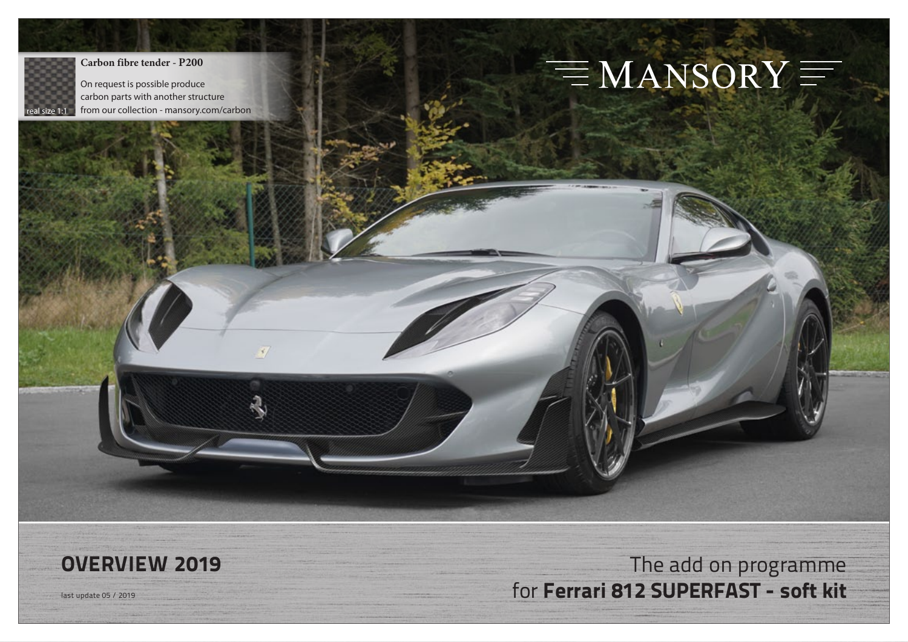

#### **Carbon fibre tender - P200**

On request is possible produce carbon parts with another structure from our collection - mansory.com/carbon

# $\equiv$  MANSORY  $\equiv$

## **OVERVIEW 2019** The add on programme last update 05 / 2019 for **Ferrari 812 SUPERFAST - soft kit**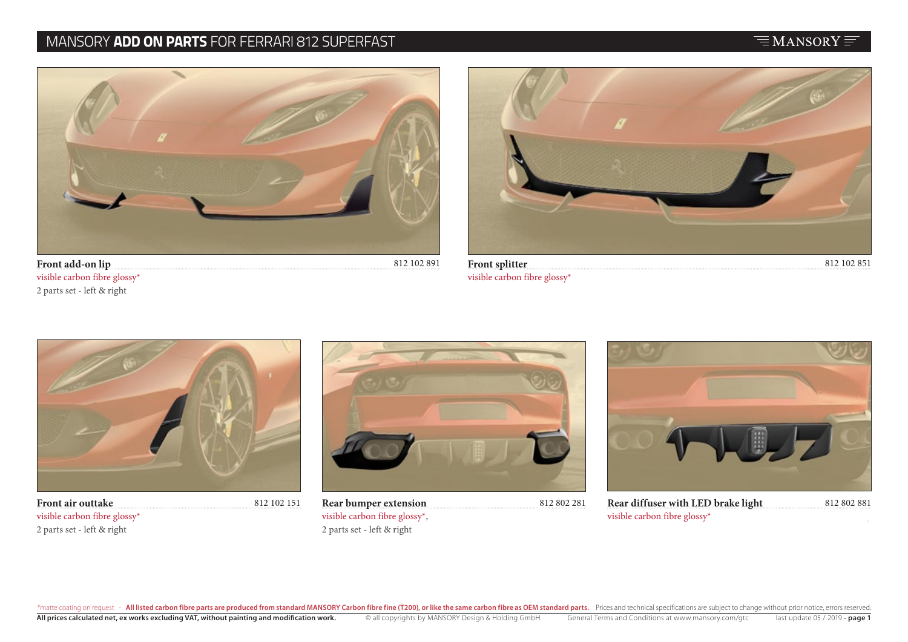#### MANSORY **ADD ON PARTS** FOR FERRARI 812 SUPERFAST

#### $\equiv$ MANSORY $\equiv$



**Front add-on lip** visible carbon fibre glossy\* 2 parts set - left & right



visible carbon fibre glossy\*



**Front air outtake** 812 102 151 visible carbon fibre glossy\* 2 parts set - left & right



visible carbon fibre glossy\*, 2 parts set - left & right



**Rear bumper extension** 812 802 281 812 802 881 **Rear diffuser with LED brake light**  visible carbon fibre glossy\*